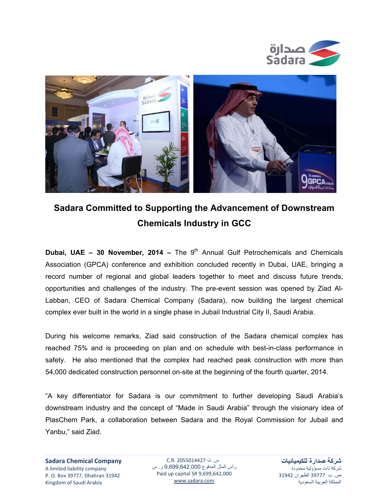



## **Sadara Committed to Supporting the Advancement of Downstream Chemicals Industry in GCC**

**Dubai, UAE – 30 November, 2014 –** The 9<sup>th</sup> Annual Gulf Petrochemicals and Chemicals Association (GPCA) conference and exhibition concluded recently in Dubai, UAE, bringing a record number of regional and global leaders together to meet and discuss future trends, opportunities and challenges of the industry. The pre-event session was opened by Ziad Al-Labban, CEO of Sadara Chemical Company (Sadara), now building the largest chemical complex ever built in the world in a single phase in Jubail Industrial City II, Saudi Arabia.

During his welcome remarks, Ziad said construction of the Sadara chemical complex has reached 75% and is proceeding on plan and on schedule with best-in-class performance in safety. He also mentioned that the complex had reached peak construction with more than 54,000 dedicated construction personnel on-site at the beginning of the fourth quarter, 2014.

"A key differentiator for Sadara is our commitment to further developing Saudi Arabia's downstream industry and the concept of "Made in Saudi Arabia" through the visionary idea of PlasChem Park, a collaboration between Sadara and the Royal Commission for Jubail and Yanbu," said Ziad.

س. ت 2055014427 .R.C رأس المال المدفوع 9,699,642,000 ر. س Paid up capital SR 9,699,642,000 www.sadara.com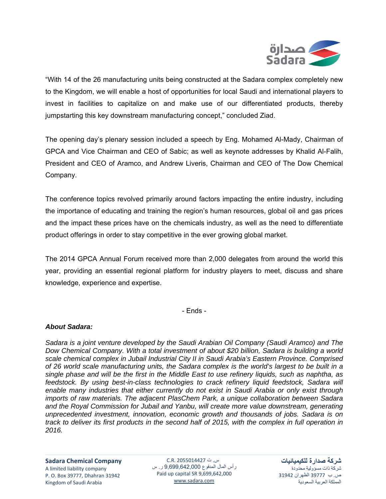

"With 14 of the 26 manufacturing units being constructed at the Sadara complex completely new to the Kingdom, we will enable a host of opportunities for local Saudi and international players to invest in facilities to capitalize on and make use of our differentiated products, thereby jumpstarting this key downstream manufacturing concept," concluded Ziad.

The opening day's plenary session included a speech by Eng. Mohamed Al-Mady, Chairman of GPCA and Vice Chairman and CEO of Sabic; as well as keynote addresses by Khalid Al-Falih, President and CEO of Aramco, and Andrew Liveris, Chairman and CEO of The Dow Chemical Company.

The conference topics revolved primarily around factors impacting the entire industry, including the importance of educating and training the region's human resources, global oil and gas prices and the impact these prices have on the chemicals industry, as well as the need to differentiate product offerings in order to stay competitive in the ever growing global market.

The 2014 GPCA Annual Forum received more than 2,000 delegates from around the world this year, providing an essential regional platform for industry players to meet, discuss and share knowledge, experience and expertise.

- Ends -

## *About Sadara:*

*Sadara is a joint venture developed by the Saudi Arabian Oil Company (Saudi Aramco) and The Dow Chemical Company. With a total investment of about \$20 billion, Sadara is building a world scale chemical complex in Jubail Industrial City II in Saudi Arabia's Eastern Province. Comprised of 26 world scale manufacturing units, the Sadara complex is the world's largest to be built in a single phase and will be the first in the Middle East to use refinery liquids, such as naphtha, as*  feedstock. By using best-in-class technologies to crack refinery liquid feedstock, Sadara will *enable many industries that either currently do not exist in Saudi Arabia or only exist through imports of raw materials. The adjacent PlasChem Park, a unique collaboration between Sadara and the Royal Commission for Jubail and Yanbu, will create more value downstream, generating unprecedented investment, innovation, economic growth and thousands of jobs. Sadara is on track to deliver its first products in the second half of 2015, with the complex in full operation in 2016.* 

**Sadara Chemical Company** A limited liability company P. O. Box 39777, Dhahran 31942 Kingdom of Saudi Arabia

س. ت 2055014427 .R.C رأس المال المدفوع 9,699,642,000 ر. س Paid up capital SR 9,699,642,000 www.sadara.com

**شركة صدارة للكيميائيات** شركة ذات مسؤولية محدودة ص. ب 39777 الظھران 31942 المملكة العربية السعودية